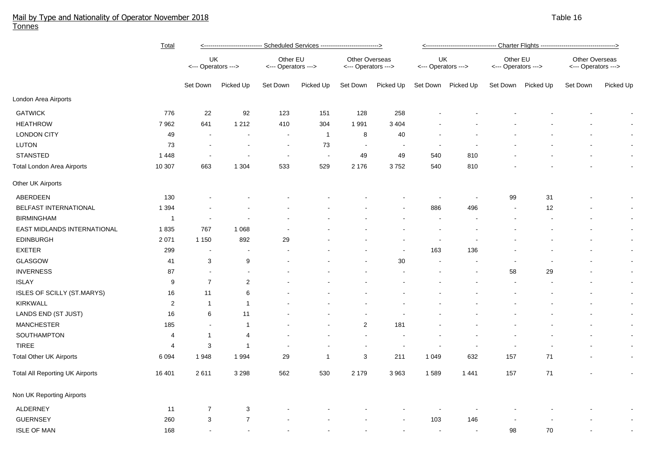## Mail by Type and Nationality of Operator November 2018 Table 16 and the state of the state of the state of the state 16 and the state 16 and the state 16 and the 16 and the 16 and the 16 and the 16 and the 16 and the 16 an Tonnes

|                                        | Total          | Scheduled Services ----------------------------><br><-------------------------- |                           |                                 |              |                                       |                          |                           |                    |                                 |           |                                       |                          |  |  |
|----------------------------------------|----------------|---------------------------------------------------------------------------------|---------------------------|---------------------------------|--------------|---------------------------------------|--------------------------|---------------------------|--------------------|---------------------------------|-----------|---------------------------------------|--------------------------|--|--|
|                                        |                | UK<br><--- Operators --->                                                       |                           | Other EU<br><--- Operators ---> |              | Other Overseas<br><--- Operators ---> |                          | UK<br><--- Operators ---> |                    | Other EU<br><--- Operators ---> |           | Other Overseas<br><--- Operators ---> |                          |  |  |
|                                        |                | Set Down                                                                        | Picked Up                 | Set Down                        | Picked Up    | Set Down                              | Picked Up                |                           | Set Down Picked Up | Set Down                        | Picked Up | Set Down                              | Picked Up                |  |  |
| London Area Airports                   |                |                                                                                 |                           |                                 |              |                                       |                          |                           |                    |                                 |           |                                       |                          |  |  |
| <b>GATWICK</b>                         | 776            | 22                                                                              | 92                        | 123                             | 151          | 128                                   | 258                      |                           |                    |                                 |           |                                       | $\overline{\phantom{a}}$ |  |  |
| <b>HEATHROW</b>                        | 7 9 6 2        | 641                                                                             | 1 2 1 2                   | 410                             | 304          | 1991                                  | 3 4 0 4                  |                           |                    |                                 |           |                                       |                          |  |  |
| <b>LONDON CITY</b>                     | 49             | $\overline{\phantom{a}}$                                                        |                           | $\blacksquare$                  | $\mathbf{1}$ | 8                                     | 40                       |                           |                    |                                 |           |                                       |                          |  |  |
| LUTON                                  | 73             |                                                                                 |                           | $\overline{\phantom{a}}$        | 73           | $\blacksquare$                        | $\overline{\phantom{a}}$ |                           |                    |                                 |           |                                       | $\blacksquare$           |  |  |
| <b>STANSTED</b>                        | 1 4 4 8        |                                                                                 |                           | $\blacksquare$                  | $\sim$       | 49                                    | 49                       | 540                       | 810                |                                 |           |                                       | $\blacksquare$           |  |  |
| Total London Area Airports             | 10 307         | 663                                                                             | 1 3 0 4                   | 533                             | 529          | 2 176                                 | 3752                     | 540                       | 810                |                                 |           |                                       | $\blacksquare$           |  |  |
| Other UK Airports                      |                |                                                                                 |                           |                                 |              |                                       |                          |                           |                    |                                 |           |                                       |                          |  |  |
| ABERDEEN                               | 130            |                                                                                 |                           |                                 |              |                                       |                          |                           |                    | 99                              | 31        |                                       | $\overline{\phantom{a}}$ |  |  |
| BELFAST INTERNATIONAL                  | 1 3 9 4        |                                                                                 |                           |                                 |              |                                       |                          | 886                       | 496                | $\overline{\phantom{a}}$        | 12        |                                       | $\blacksquare$           |  |  |
| <b>BIRMINGHAM</b>                      | $\mathbf{1}$   |                                                                                 |                           |                                 |              |                                       |                          |                           |                    |                                 |           |                                       | $\sim$                   |  |  |
| EAST MIDLANDS INTERNATIONAL            | 1835           | 767                                                                             | 1 0 6 8                   |                                 |              |                                       |                          |                           |                    |                                 |           |                                       | $\blacksquare$           |  |  |
| <b>EDINBURGH</b>                       | 2 0 7 1        | 1 1 5 0                                                                         | 892                       | 29                              |              |                                       |                          | $\overline{\phantom{a}}$  |                    |                                 |           |                                       | $\blacksquare$           |  |  |
| <b>EXETER</b>                          | 299            | $\overline{\phantom{a}}$                                                        | $\overline{\phantom{a}}$  |                                 |              |                                       | $\overline{a}$           | 163                       | 136                |                                 |           |                                       | $\blacksquare$           |  |  |
| GLASGOW                                | 41             | 3                                                                               | $\boldsymbol{9}$          |                                 |              |                                       | $30\,$                   | $\blacksquare$            |                    | $\blacksquare$                  |           |                                       | $\blacksquare$           |  |  |
| <b>INVERNESS</b>                       | 87             | $\blacksquare$                                                                  | $\blacksquare$            |                                 |              |                                       |                          | $\overline{\phantom{a}}$  |                    | 58                              | 29        |                                       | $\blacksquare$           |  |  |
| <b>ISLAY</b>                           | 9              | $\overline{7}$                                                                  | $\sqrt{2}$                |                                 |              |                                       |                          |                           |                    | $\overline{\phantom{a}}$        |           |                                       | $\blacksquare$           |  |  |
| ISLES OF SCILLY (ST.MARYS)             | 16             | 11                                                                              | 6                         |                                 |              |                                       |                          |                           |                    |                                 |           |                                       | $\blacksquare$           |  |  |
| <b>KIRKWALL</b>                        | $\overline{2}$ | $\mathbf{1}$                                                                    | 1                         |                                 |              |                                       |                          |                           |                    |                                 |           |                                       | $\blacksquare$           |  |  |
| LANDS END (ST JUST)                    | 16             | 6                                                                               | 11                        |                                 |              |                                       |                          |                           |                    |                                 |           |                                       | $\blacksquare$           |  |  |
| <b>MANCHESTER</b>                      | 185            | $\sim$                                                                          | $\mathbf{1}$              |                                 |              | $\overline{c}$                        | 181                      |                           |                    |                                 |           |                                       | $\blacksquare$           |  |  |
| SOUTHAMPTON                            | $\overline{4}$ | $\mathbf{1}$                                                                    | 4                         |                                 |              |                                       |                          |                           |                    |                                 |           |                                       | $\blacksquare$           |  |  |
| TIREE                                  | $\overline{4}$ | 3                                                                               | $\overline{1}$            |                                 |              |                                       | $\overline{\phantom{a}}$ |                           |                    |                                 |           |                                       | $\blacksquare$           |  |  |
| <b>Total Other UK Airports</b>         | 6 0 9 4        | 1948                                                                            | 1 9 9 4                   | 29                              | 1            | 3                                     | 211                      | 1 0 4 9                   | 632                | 157                             | 71        |                                       | $\blacksquare$           |  |  |
| <b>Total All Reporting UK Airports</b> | 16 401         | 2611                                                                            | 3 2 9 8                   | 562                             | 530          | 2 179                                 | 3 9 6 3                  | 1589                      | 1441               | 157                             | $71$      |                                       | $\blacksquare$           |  |  |
| Non UK Reporting Airports              |                |                                                                                 |                           |                                 |              |                                       |                          |                           |                    |                                 |           |                                       |                          |  |  |
| ALDERNEY                               | 11             | 7                                                                               | $\ensuremath{\mathsf{3}}$ |                                 |              |                                       |                          |                           |                    |                                 |           |                                       |                          |  |  |
| <b>GUERNSEY</b>                        | 260            | 3                                                                               | $\overline{7}$            |                                 |              |                                       |                          | 103                       | 146                |                                 |           |                                       |                          |  |  |
| <b>ISLE OF MAN</b>                     | 168            |                                                                                 |                           |                                 |              |                                       |                          | $\overline{\phantom{a}}$  |                    | 98                              | 70        |                                       |                          |  |  |